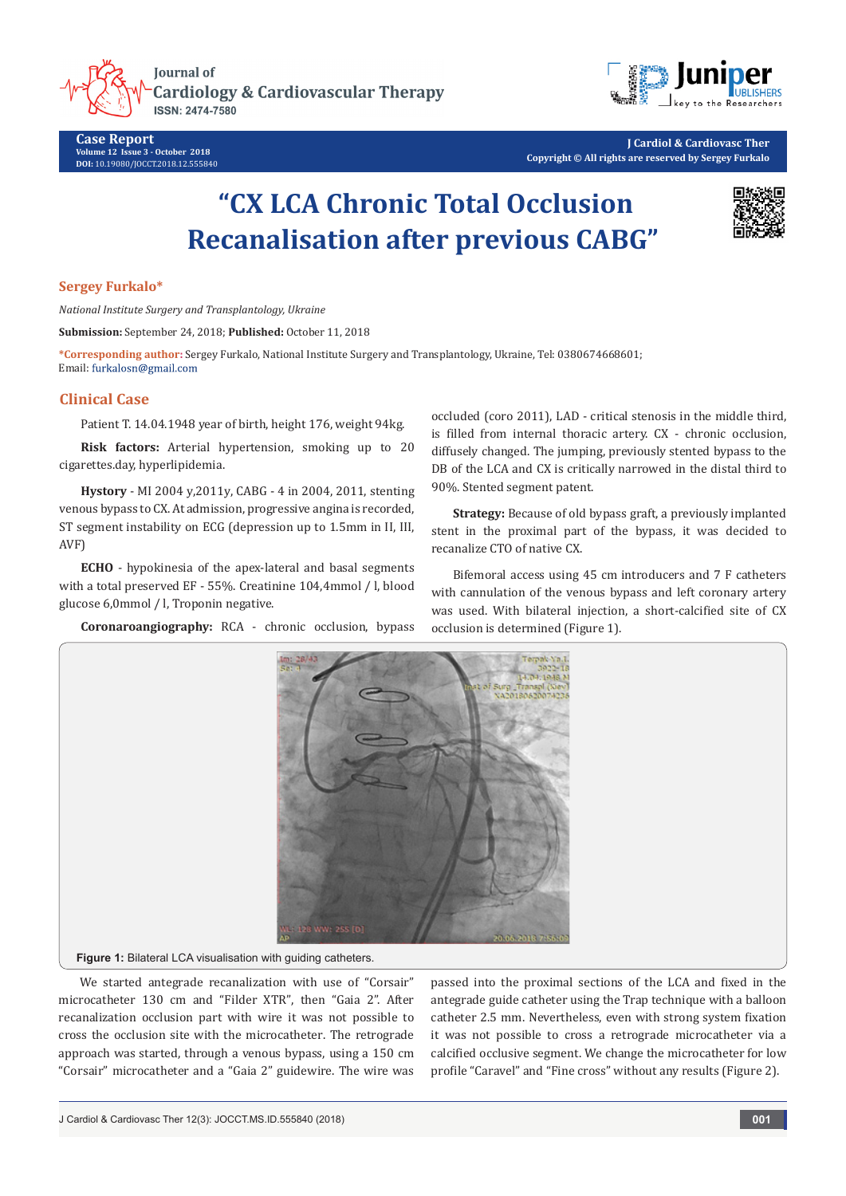**Journal of Cardiology & Cardiovascular Therapy ISSN: 2474-7580** 





**J Cardiol & Cardiovasc Ther Copyright © All rights are reserved by Sergey Furkalo**

# **"CX LCA Chronic Total Occlusion Recanalisation after previous CABG"**



## **Sergey Furkalo\***

*National Institute Surgery and Transplantology, Ukraine*

**Submission:** September 24, 2018; **Published:** October 11, 2018

**\*Corresponding author:** Sergey Furkalo, National Institute Surgery and Transplantology, Ukraine, Tel: 0380674668601; Email: furkalosn@gmail.com

# **Clinical Case**

Patient T. 14.04.1948 year of birth, height 176, weight 94kg.

**Risk factors:** Arterial hypertension, smoking up to 20 cigarettes.day, hyperlipidemia.

**Hystory** - MI 2004 y,2011y, CABG - 4 in 2004, 2011, stenting venous bypass to CX. At admission, progressive angina is recorded, ST segment instability on ECG (depression up to 1.5mm in II, III, AVF)

**ECHO** - hypokinesia of the apex-lateral and basal segments with a total preserved EF - 55%. Creatinine 104,4mmol / l, blood glucose 6,0mmol / l, Troponin negative.

**Coronaroangiography:** RCA - chronic occlusion, bypass

occluded (coro 2011), LAD - critical stenosis in the middle third, is filled from internal thoracic artery. CX - chronic occlusion, diffusely changed. The jumping, previously stented bypass to the DB of the LCA and CX is critically narrowed in the distal third to 90%. Stented segment patent.

**Strategy:** Because of old bypass graft, a previously implanted stent in the proximal part of the bypass, it was decided to recanalize CTO of native CX.

Bifemoral access using 45 cm introducers and 7 F catheters with cannulation of the venous bypass and left coronary artery was used. With bilateral injection, a short-calcified site of CX occlusion is determined (Figure 1).



We started antegrade recanalization with use of "Corsair" microcatheter 130 cm and "Filder XTR", then "Gaia 2". After recanalization occlusion part with wire it was not possible to cross the occlusion site with the microcatheter. The retrograde approach was started, through a venous bypass, using a 150 cm

"Corsair" microcatheter and a "Gaia 2" guidewire. The wire was

passed into the proximal sections of the LCA and fixed in the antegrade guide catheter using the Trap technique with a balloon catheter 2.5 mm. Nevertheless, even with strong system fixation it was not possible to cross a retrograde microcatheter via a calcified occlusive segment. We change the microcatheter for low profile "Caravel" and "Fine cross" without any results (Figure 2).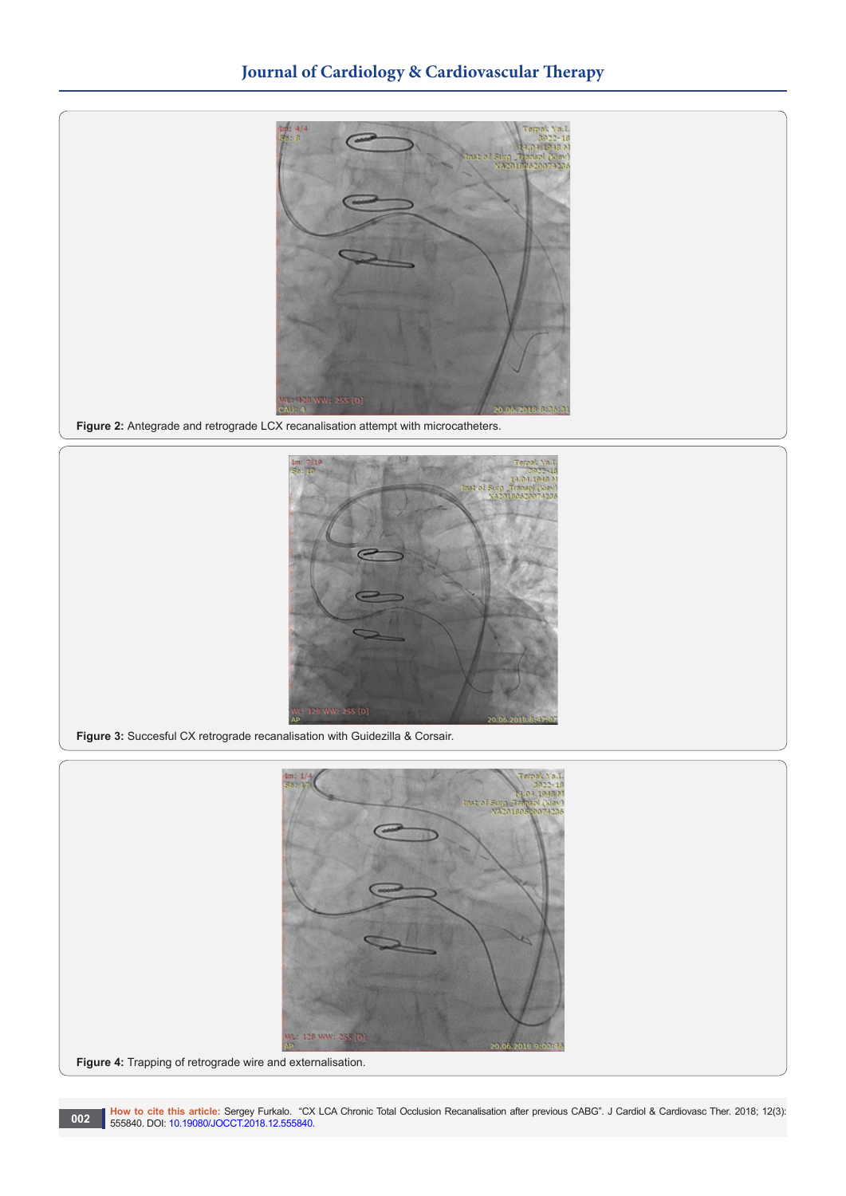

**Figure 2:** Antegrade and retrograde LCX recanalisation attempt with microcatheters.



**Figure 3:** Succesful CX retrograde recanalisation with Guidezilla & Corsair.

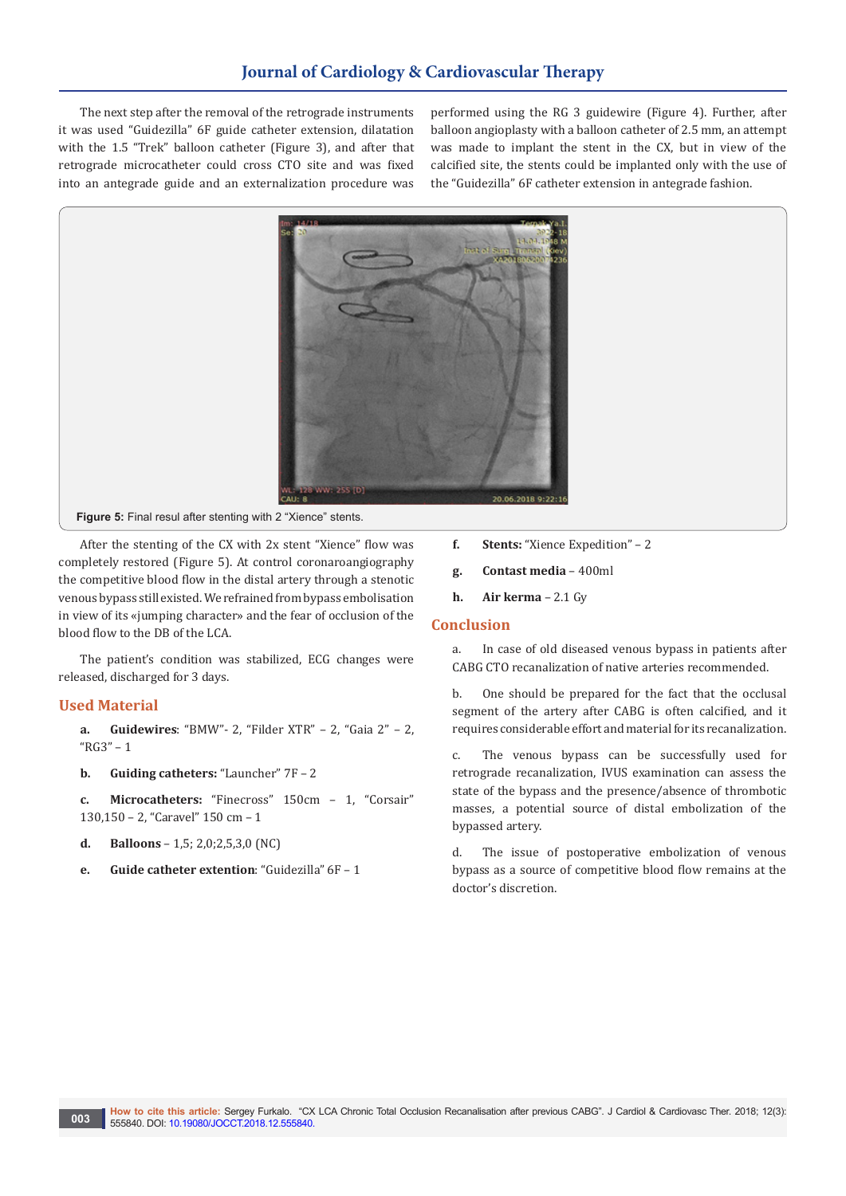# **Journal of Cardiology & Cardiovascular Therapy**

The next step after the removal of the retrograde instruments it was used "Guidezilla" 6F guide catheter extension, dilatation with the 1.5 "Trek" balloon catheter (Figure 3), and after that retrograde microcatheter could cross CTO site and was fixed into an antegrade guide and an externalization procedure was

performed using the RG 3 guidewire (Figure 4). Further, after balloon angioplasty with a balloon catheter of 2.5 mm, an attempt was made to implant the stent in the CX, but in view of the calcified site, the stents could be implanted only with the use of the "Guidezilla" 6F catheter extension in antegrade fashion.



After the stenting of the CX with 2x stent "Xience" flow was completely restored (Figure 5). At control coronaroangiography the competitive blood flow in the distal artery through a stenotic venous bypass still existed. We refrained from bypass embolisation in view of its «jumping character» and the fear of occlusion of the blood flow to the DB of the LCA.

The patient's condition was stabilized, ECG changes were released, discharged for 3 days.

## **Used Material**

- **a. Guidewires**: "BMW"- 2, "Filder XTR" 2, "Gaia 2" 2, "RG3" – 1
- **b. Guiding catheters:** "Launcher" 7F 2
- **c. Microcatheters:** "Finecross" 150cm 1, "Corsair" 130,150 – 2, "Caravel" 150 cm – 1
- **d. Balloons** 1,5; 2,0;2,5,3,0 (NC)
- **e. Guide catheter extention**: "Guidezilla" 6F 1
- **f. Stents:** "Xience Expedition" 2
- **g. Contast media**  400ml
- **h. Air kerma** 2.1 Gy

### **Conclusion**

a. In case of old diseased venous bypass in patients after CABG CTO recanalization of native arteries recommended.

b. One should be prepared for the fact that the occlusal segment of the artery after CABG is often calcified, and it requires considerable effort and material for its recanalization.

c. The venous bypass can be successfully used for retrograde recanalization, IVUS examination can assess the state of the bypass and the presence/absence of thrombotic masses, a potential source of distal embolization of the bypassed artery.

d. The issue of postoperative embolization of venous bypass as a source of competitive blood flow remains at the doctor's discretion.